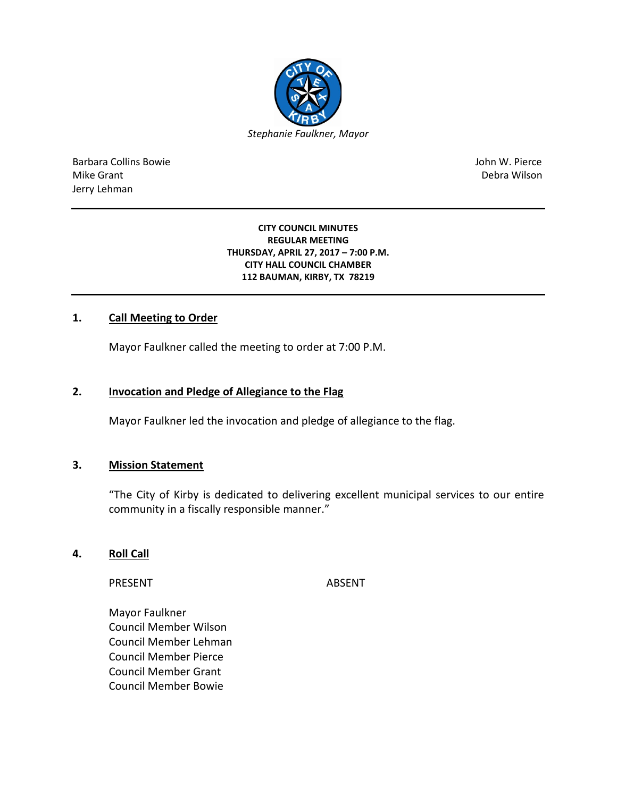

Barbara Collins Bowie John W. Pierce Mike Grant National Accounts and the United States of the United States of the Debra Wilson Jerry Lehman

#### **CITY COUNCIL MINUTES REGULAR MEETING THURSDAY, APRIL 27, 2017 – 7:00 P.M. CITY HALL COUNCIL CHAMBER 112 BAUMAN, KIRBY, TX 78219**

## **1. Call Meeting to Order**

Mayor Faulkner called the meeting to order at 7:00 P.M.

#### **2. Invocation and Pledge of Allegiance to the Flag**

Mayor Faulkner led the invocation and pledge of allegiance to the flag.

### **3. Mission Statement**

"The City of Kirby is dedicated to delivering excellent municipal services to our entire community in a fiscally responsible manner."

### **4. Roll Call**

PRESENT ABSENT

Mayor Faulkner Council Member Wilson Council Member Lehman Council Member Pierce Council Member Grant Council Member Bowie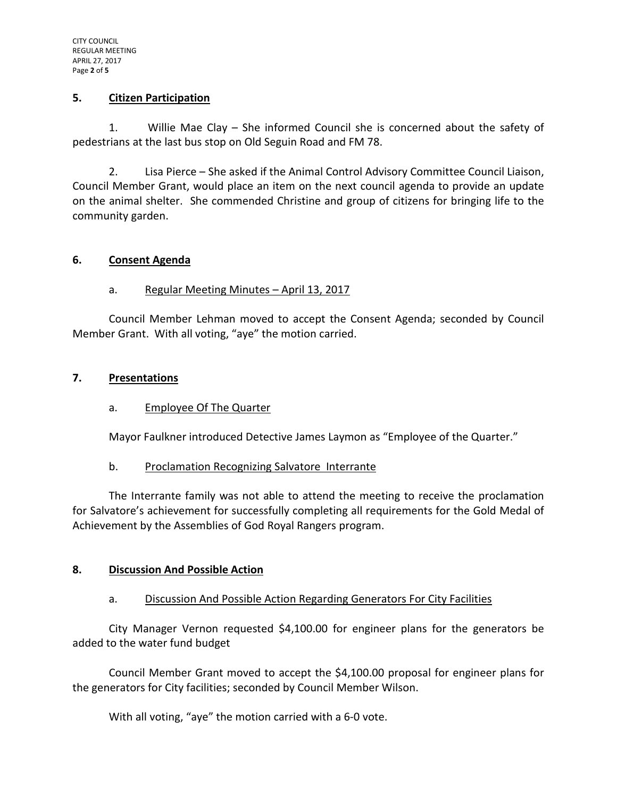### **5. Citizen Participation**

1. Willie Mae Clay – She informed Council she is concerned about the safety of pedestrians at the last bus stop on Old Seguin Road and FM 78.

2. Lisa Pierce – She asked if the Animal Control Advisory Committee Council Liaison, Council Member Grant, would place an item on the next council agenda to provide an update on the animal shelter. She commended Christine and group of citizens for bringing life to the community garden.

## **6. Consent Agenda**

# a. Regular Meeting Minutes – April 13, 2017

Council Member Lehman moved to accept the Consent Agenda; seconded by Council Member Grant. With all voting, "aye" the motion carried.

## **7. Presentations**

# a. Employee Of The Quarter

Mayor Faulkner introduced Detective James Laymon as "Employee of the Quarter."

### b. Proclamation Recognizing Salvatore Interrante

The Interrante family was not able to attend the meeting to receive the proclamation for Salvatore's achievement for successfully completing all requirements for the Gold Medal of Achievement by the Assemblies of God Royal Rangers program.

### **8. Discussion And Possible Action**

### a. Discussion And Possible Action Regarding Generators For City Facilities

City Manager Vernon requested \$4,100.00 for engineer plans for the generators be added to the water fund budget

Council Member Grant moved to accept the \$4,100.00 proposal for engineer plans for the generators for City facilities; seconded by Council Member Wilson.

With all voting, "aye" the motion carried with a 6-0 vote.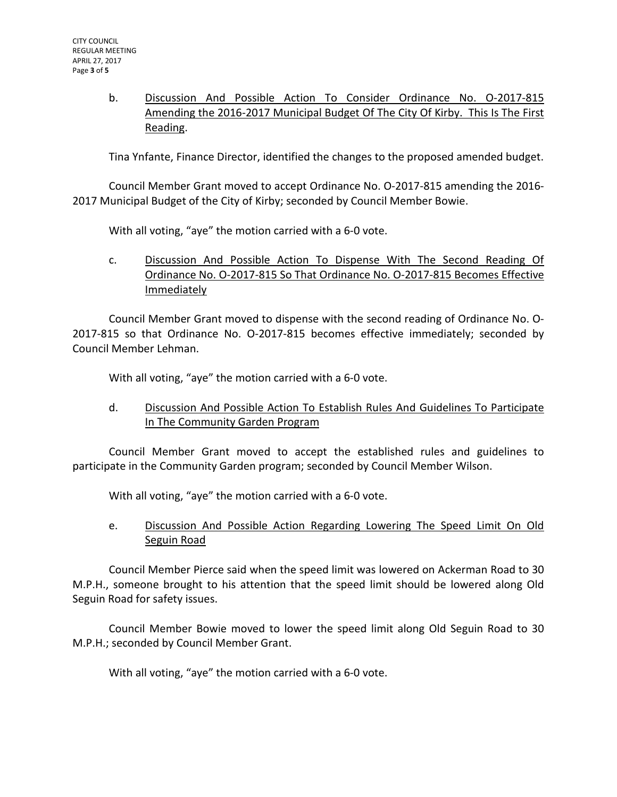b. Discussion And Possible Action To Consider Ordinance No. O-2017-815 Amending the 2016-2017 Municipal Budget Of The City Of Kirby. This Is The First Reading.

Tina Ynfante, Finance Director, identified the changes to the proposed amended budget.

Council Member Grant moved to accept Ordinance No. O-2017-815 amending the 2016- 2017 Municipal Budget of the City of Kirby; seconded by Council Member Bowie.

With all voting, "aye" the motion carried with a 6-0 vote.

c. Discussion And Possible Action To Dispense With The Second Reading Of Ordinance No. O-2017-815 So That Ordinance No. O-2017-815 Becomes Effective Immediately

Council Member Grant moved to dispense with the second reading of Ordinance No. O-2017-815 so that Ordinance No. O-2017-815 becomes effective immediately; seconded by Council Member Lehman.

With all voting, "aye" the motion carried with a 6-0 vote.

d. Discussion And Possible Action To Establish Rules And Guidelines To Participate In The Community Garden Program

Council Member Grant moved to accept the established rules and guidelines to participate in the Community Garden program; seconded by Council Member Wilson.

With all voting, "aye" the motion carried with a 6-0 vote.

e. Discussion And Possible Action Regarding Lowering The Speed Limit On Old Seguin Road

Council Member Pierce said when the speed limit was lowered on Ackerman Road to 30 M.P.H., someone brought to his attention that the speed limit should be lowered along Old Seguin Road for safety issues.

Council Member Bowie moved to lower the speed limit along Old Seguin Road to 30 M.P.H.; seconded by Council Member Grant.

With all voting, "aye" the motion carried with a 6-0 vote.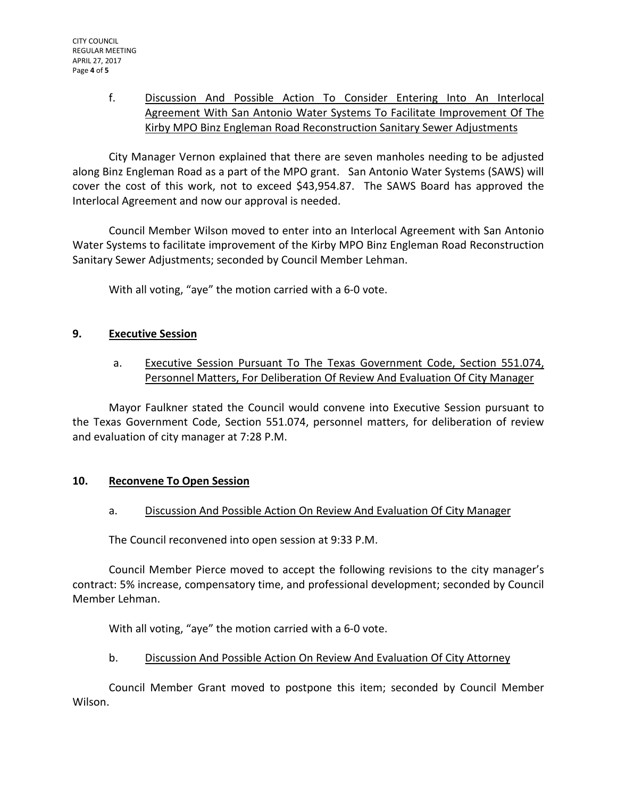f. Discussion And Possible Action To Consider Entering Into An Interlocal Agreement With San Antonio Water Systems To Facilitate Improvement Of The Kirby MPO Binz Engleman Road Reconstruction Sanitary Sewer Adjustments

City Manager Vernon explained that there are seven manholes needing to be adjusted along Binz Engleman Road as a part of the MPO grant. San Antonio Water Systems (SAWS) will cover the cost of this work, not to exceed \$43,954.87. The SAWS Board has approved the Interlocal Agreement and now our approval is needed.

Council Member Wilson moved to enter into an Interlocal Agreement with San Antonio Water Systems to facilitate improvement of the Kirby MPO Binz Engleman Road Reconstruction Sanitary Sewer Adjustments; seconded by Council Member Lehman.

With all voting, "aye" the motion carried with a 6-0 vote.

## **9. Executive Session**

a. Executive Session Pursuant To The Texas Government Code, Section 551.074, Personnel Matters, For Deliberation Of Review And Evaluation Of City Manager

Mayor Faulkner stated the Council would convene into Executive Session pursuant to the Texas Government Code, Section 551.074, personnel matters, for deliberation of review and evaluation of city manager at 7:28 P.M.

# **10. Reconvene To Open Session**

# a. Discussion And Possible Action On Review And Evaluation Of City Manager

The Council reconvened into open session at 9:33 P.M.

Council Member Pierce moved to accept the following revisions to the city manager's contract: 5% increase, compensatory time, and professional development; seconded by Council Member Lehman.

With all voting, "aye" the motion carried with a 6-0 vote.

# b. Discussion And Possible Action On Review And Evaluation Of City Attorney

Council Member Grant moved to postpone this item; seconded by Council Member Wilson.